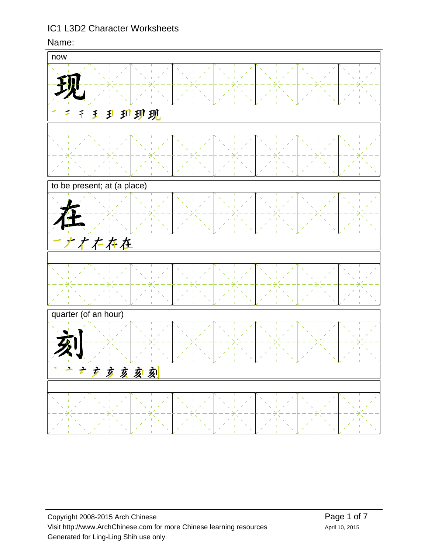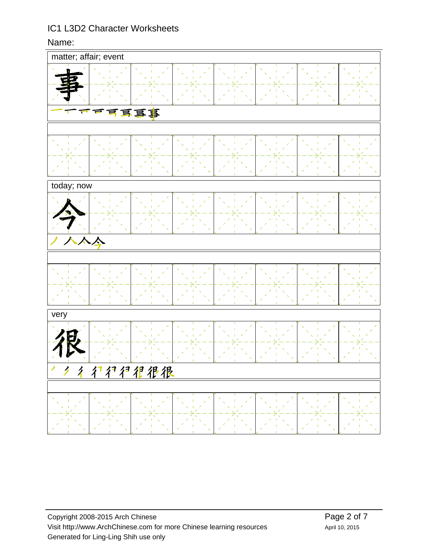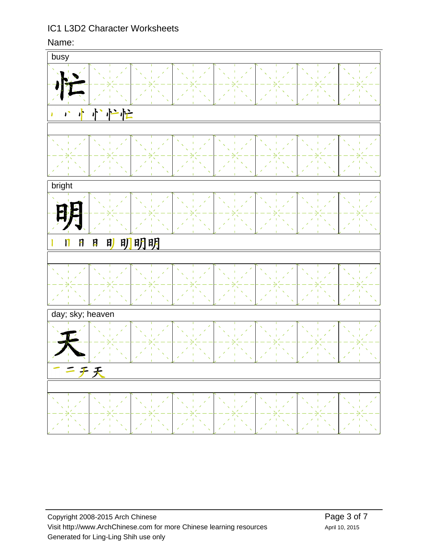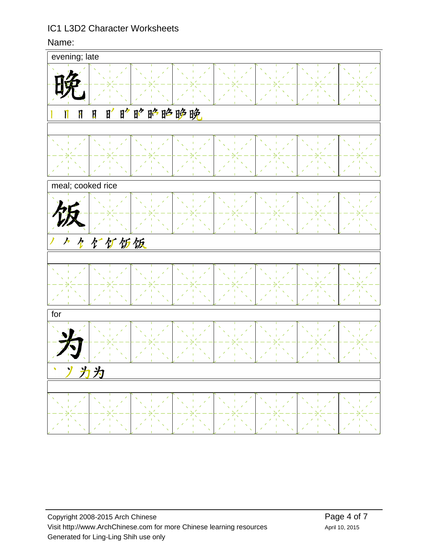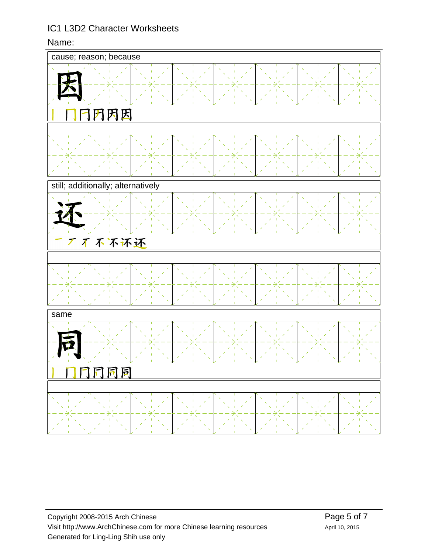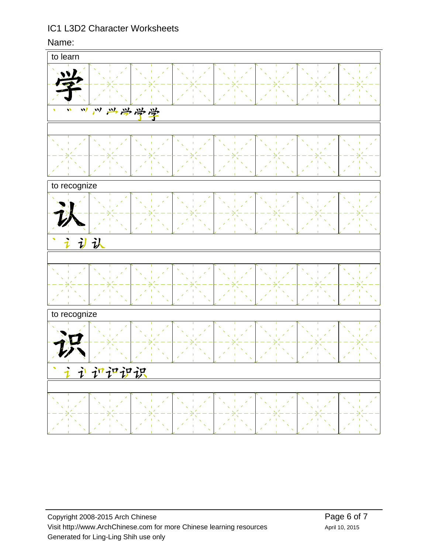